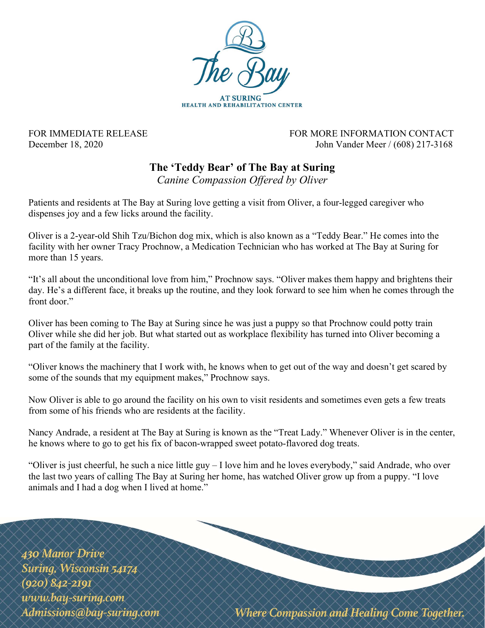

FOR IMMEDIATE RELEASE FOR MORE INFORMATION CONTACT December 18, 2020 John Vander Meer / (608) 217-3168

## The 'Teddy Bear' of The Bay at Suring

Canine Compassion Offered by Oliver

Patients and residents at The Bay at Suring love getting a visit from Oliver, a four-legged caregiver who dispenses joy and a few licks around the facility.

Oliver is a 2-year-old Shih Tzu/Bichon dog mix, which is also known as a "Teddy Bear." He comes into the facility with her owner Tracy Prochnow, a Medication Technician who has worked at The Bay at Suring for more than 15 years.

"It's all about the unconditional love from him," Prochnow says. "Oliver makes them happy and brightens their day. He's a different face, it breaks up the routine, and they look forward to see him when he comes through the front door."

Oliver has been coming to The Bay at Suring since he was just a puppy so that Prochnow could potty train Oliver while she did her job. But what started out as workplace flexibility has turned into Oliver becoming a part of the family at the facility.

"Oliver knows the machinery that I work with, he knows when to get out of the way and doesn't get scared by some of the sounds that my equipment makes," Prochnow says.

Now Oliver is able to go around the facility on his own to visit residents and sometimes even gets a few treats from some of his friends who are residents at the facility.

Nancy Andrade, a resident at The Bay at Suring is known as the "Treat Lady." Whenever Oliver is in the center, he knows where to go to get his fix of bacon-wrapped sweet potato-flavored dog treats.

"Oliver is just cheerful, he such a nice little guy – I love him and he loves everybody," said Andrade, who over the last two years of calling The Bay at Suring her home, has watched Oliver grow up from a puppy. "I love animals and I had a dog when I lived at home."

430 Manor Drive Suring, Wisconsin 54174  $(920) 842 - 2191$ www.bay-suring.com Admissions@bay-suring.com

**Where Compassion and Healing Come Together.**